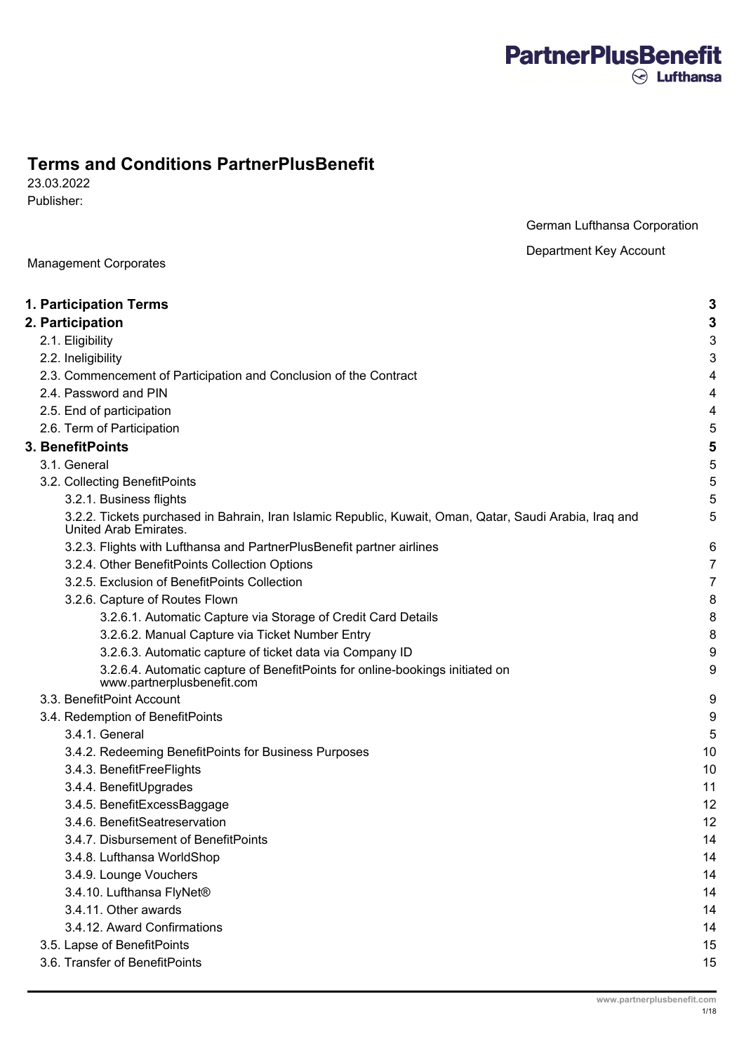### **Terms and Conditions PartnerPlusBenefit**

23.03.2022 Publisher:

Management Corporates

German Lufthansa Corporation

Department Key Account

| 1. Participation Terms                                                                                                           | 3  |
|----------------------------------------------------------------------------------------------------------------------------------|----|
| 2. Participation                                                                                                                 | 3  |
| 2.1. Eligibility                                                                                                                 | 3  |
| 2.2. Ineligibility                                                                                                               | 3  |
| 2.3. Commencement of Participation and Conclusion of the Contract                                                                | 4  |
| 2.4. Password and PIN                                                                                                            | 4  |
| 2.5. End of participation                                                                                                        | 4  |
| 2.6. Term of Participation                                                                                                       | 5  |
| 3. BenefitPoints                                                                                                                 | 5  |
| 3.1. General                                                                                                                     | 5  |
| 3.2. Collecting BenefitPoints                                                                                                    | 5  |
| 3.2.1. Business flights                                                                                                          | 5  |
| 3.2.2. Tickets purchased in Bahrain, Iran Islamic Republic, Kuwait, Oman, Qatar, Saudi Arabia, Iraq and<br>United Arab Emirates. | 5  |
| 3.2.3. Flights with Lufthansa and PartnerPlusBenefit partner airlines                                                            | 6  |
| 3.2.4. Other BenefitPoints Collection Options                                                                                    | 7  |
| 3.2.5. Exclusion of BenefitPoints Collection                                                                                     | 7  |
| 3.2.6. Capture of Routes Flown                                                                                                   | 8  |
| 3.2.6.1. Automatic Capture via Storage of Credit Card Details                                                                    | 8  |
| 3.2.6.2. Manual Capture via Ticket Number Entry                                                                                  | 8  |
| 3.2.6.3. Automatic capture of ticket data via Company ID                                                                         | 9  |
| 3.2.6.4. Automatic capture of BenefitPoints for online-bookings initiated on<br>www.partnerplusbenefit.com                       | 9  |
| 3.3. BenefitPoint Account                                                                                                        | 9  |
| 3.4. Redemption of BenefitPoints                                                                                                 | 9  |
| 3.4.1. General                                                                                                                   | 5  |
| 3.4.2. Redeeming BenefitPoints for Business Purposes                                                                             | 10 |
| 3.4.3. BenefitFreeFlights                                                                                                        | 10 |
| 3.4.4. BenefitUpgrades                                                                                                           | 11 |
| 3.4.5. BenefitExcessBaggage                                                                                                      | 12 |
| 3.4.6. BenefitSeatreservation                                                                                                    | 12 |
| 3.4.7. Disbursement of BenefitPoints                                                                                             | 14 |
| 3.4.8. Lufthansa WorldShop                                                                                                       | 14 |
| 3.4.9. Lounge Vouchers                                                                                                           | 14 |
| 3.4.10. Lufthansa FlyNet®                                                                                                        | 14 |
| 3.4.11. Other awards                                                                                                             | 14 |
| 3.4.12. Award Confirmations                                                                                                      | 14 |
| 3.5. Lapse of BenefitPoints                                                                                                      | 15 |
| 3.6. Transfer of BenefitPoints                                                                                                   | 15 |

### **PartnerPlusBenefit**  $\odot$  Lufthansa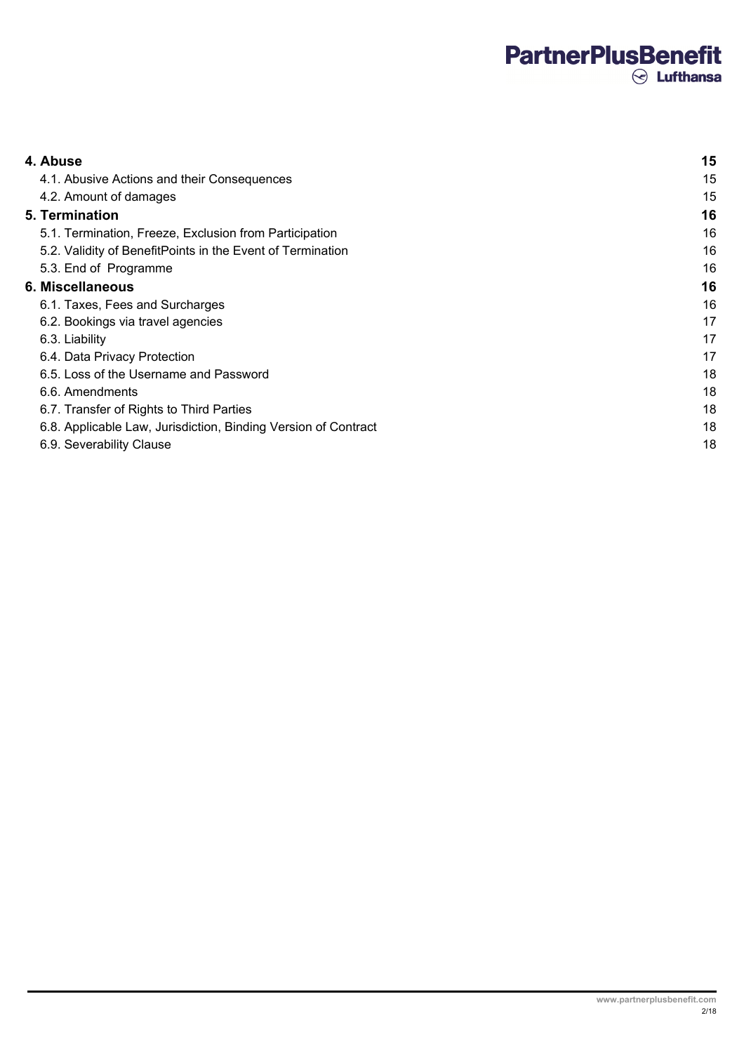# 

| 4. Abuse                                                       | 15 |
|----------------------------------------------------------------|----|
| 4.1. Abusive Actions and their Consequences                    | 15 |
| 4.2. Amount of damages                                         | 15 |
| 5. Termination                                                 | 16 |
| 5.1. Termination, Freeze, Exclusion from Participation         | 16 |
| 5.2. Validity of BenefitPoints in the Event of Termination     | 16 |
| 5.3. End of Programme                                          | 16 |
| 6. Miscellaneous                                               | 16 |
| 6.1. Taxes, Fees and Surcharges                                | 16 |
| 6.2. Bookings via travel agencies                              | 17 |
| 6.3. Liability                                                 | 17 |
| 6.4. Data Privacy Protection                                   | 17 |
| 6.5. Loss of the Username and Password                         | 18 |
| 6.6. Amendments                                                | 18 |
| 6.7. Transfer of Rights to Third Parties                       | 18 |
| 6.8. Applicable Law, Jurisdiction, Binding Version of Contract | 18 |
| 6.9. Severability Clause                                       | 18 |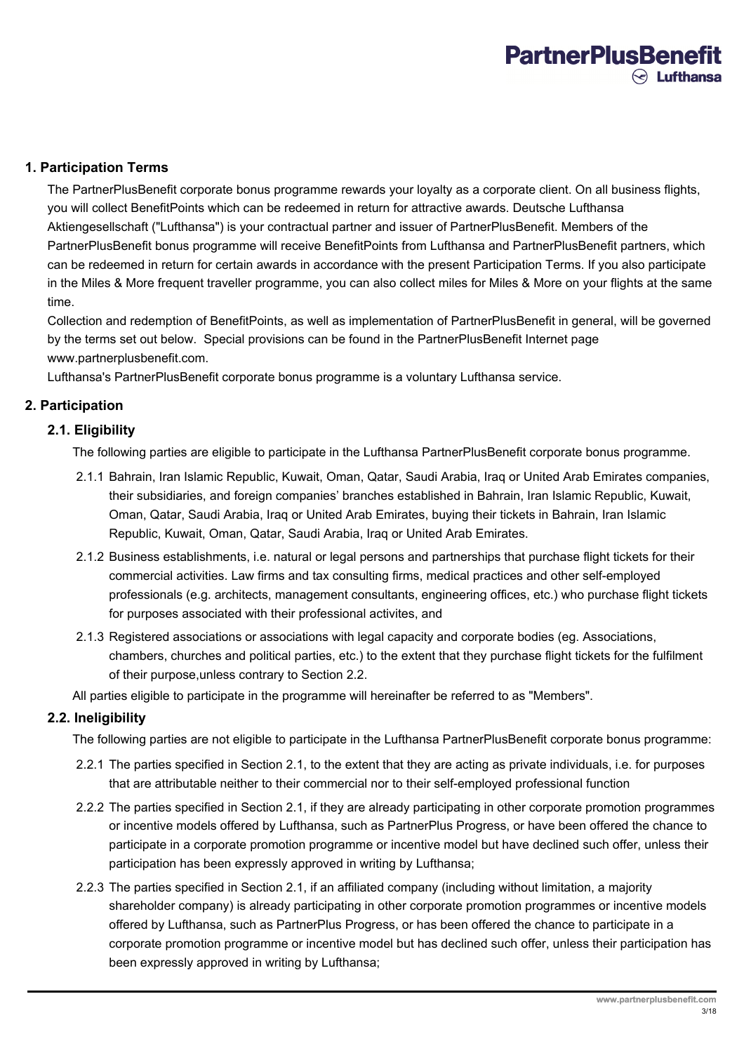### <span id="page-2-0"></span>**1. Participation Terms**

The PartnerPlusBenefit corporate bonus programme rewards your loyalty as a corporate client. On all business flights, you will collect BenefitPoints which can be redeemed in return for attractive awards. Deutsche Lufthansa Aktiengesellschaft ("Lufthansa") is your contractual partner and issuer of PartnerPlusBenefit. Members of the PartnerPlusBenefit bonus programme will receive BenefitPoints from Lufthansa and PartnerPlusBenefit partners, which can be redeemed in return for certain awards in accordance with the present Participation Terms. If you also participate in the Miles & More frequent traveller programme, you can also collect miles for Miles & More on your flights at the same time.

Collection and redemption of BenefitPoints, as well as implementation of PartnerPlusBenefit in general, will be governed by the terms set out below. Special provisions can be found in the PartnerPlusBenefit Internet page www.partnerplusbenefit.com.

Lufthansa's PartnerPlusBenefit corporate bonus programme is a voluntary Lufthansa service.

### <span id="page-2-1"></span>**2. Participation**

### <span id="page-2-2"></span>**2.1. Eligibility**

The following parties are eligible to participate in the Lufthansa PartnerPlusBenefit corporate bonus programme.

- 2.1.1 Bahrain, Iran Islamic Republic, Kuwait, Oman, Qatar, Saudi Arabia, Iraq or United Arab Emirates companies, their subsidiaries, and foreign companies' branches established in Bahrain, Iran Islamic Republic, Kuwait, Oman, Qatar, Saudi Arabia, Iraq or United Arab Emirates, buying their tickets in Bahrain, Iran Islamic Republic, Kuwait, Oman, Qatar, Saudi Arabia, Iraq or United Arab Emirates.
- 2.1.2 Business establishments, i.e. natural or legal persons and partnerships that purchase flight tickets for their commercial activities. Law firms and tax consulting firms, medical practices and other self-employed professionals (e.g. architects, management consultants, engineering offices, etc.) who purchase flight tickets for purposes associated with their professional activites, and
- 2.1.3 Registered associations or associations with legal capacity and corporate bodies (eg. Associations, chambers, churches and political parties, etc.) to the extent that they purchase flight tickets for the fulfilment of their purpose,unless contrary to Section 2.2.

All parties eligible to participate in the programme will hereinafter be referred to as "Members".

### <span id="page-2-3"></span>**2.2. Ineligibility**

The following parties are not eligible to participate in the Lufthansa PartnerPlusBenefit corporate bonus programme:

- 2.2.1 The parties specified in Section 2.1, to the extent that they are acting as private individuals, i.e. for purposes that are attributable neither to their commercial nor to their self-employed professional function
- 2.2.2 The parties specified in Section 2.1, if they are already participating in other corporate promotion programmes or incentive models offered by Lufthansa, such as PartnerPlus Progress, or have been offered the chance to participate in a corporate promotion programme or incentive model but have declined such offer, unless their participation has been expressly approved in writing by Lufthansa;
- 2.2.3 The parties specified in Section 2.1, if an affiliated company (including without limitation, a majority shareholder company) is already participating in other corporate promotion programmes or incentive models offered by Lufthansa, such as PartnerPlus Progress, or has been offered the chance to participate in a corporate promotion programme or incentive model but has declined such offer, unless their participation has been expressly approved in writing by Lufthansa;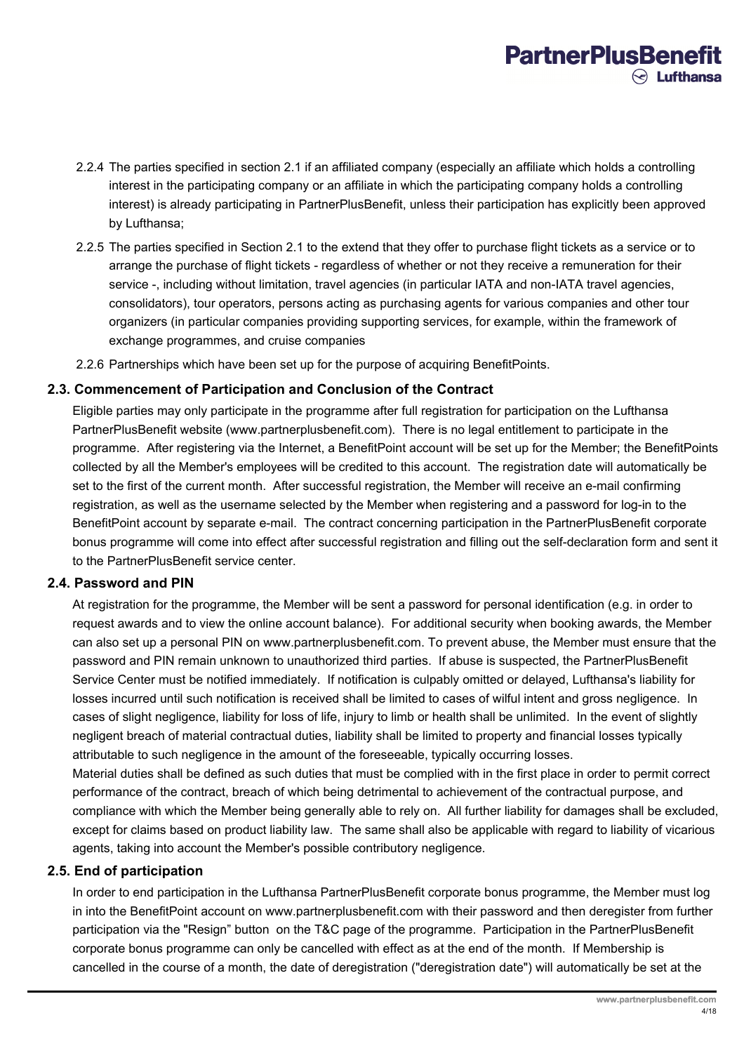- 2.2.4 The parties specified in section 2.1 if an affiliated company (especially an affiliate which holds a controlling interest in the participating company or an affiliate in which the participating company holds a controlling interest) is already participating in PartnerPlusBenefit, unless their participation has explicitly been approved by Lufthansa;
- 2.2.5 The parties specified in Section 2.1 to the extend that they offer to purchase flight tickets as a service or to arrange the purchase of flight tickets - regardless of whether or not they receive a remuneration for their service -, including without limitation, travel agencies (in particular IATA and non-IATA travel agencies, consolidators), tour operators, persons acting as purchasing agents for various companies and other tour organizers (in particular companies providing supporting services, for example, within the framework of exchange programmes, and cruise companies
- 2.2.6 Partnerships which have been set up for the purpose of acquiring BenefitPoints.

### <span id="page-3-0"></span>**2.3. Commencement of Participation and Conclusion of the Contract**

Eligible parties may only participate in the programme after full registration for participation on the Lufthansa PartnerPlusBenefit website (www.partnerplusbenefit.com). There is no legal entitlement to participate in the programme. After registering via the Internet, a BenefitPoint account will be set up for the Member; the BenefitPoints collected by all the Member's employees will be credited to this account. The registration date will automatically be set to the first of the current month. After successful registration, the Member will receive an e-mail confirming registration, as well as the username selected by the Member when registering and a password for log-in to the BenefitPoint account by separate e-mail. The contract concerning participation in the PartnerPlusBenefit corporate bonus programme will come into effect after successful registration and filling out the self-declaration form and sent it to the PartnerPlusBenefit service center.

### <span id="page-3-1"></span>**2.4. Password and PIN**

At registration for the programme, the Member will be sent a password for personal identification (e.g. in order to request awards and to view the online account balance). For additional security when booking awards, the Member can also set up a personal PIN on www.partnerplusbenefit.com. To prevent abuse, the Member must ensure that the password and PIN remain unknown to unauthorized third parties. If abuse is suspected, the PartnerPlusBenefit Service Center must be notified immediately. If notification is culpably omitted or delayed, Lufthansa's liability for losses incurred until such notification is received shall be limited to cases of wilful intent and gross negligence. In cases of slight negligence, liability for loss of life, injury to limb or health shall be unlimited. In the event of slightly negligent breach of material contractual duties, liability shall be limited to property and financial losses typically attributable to such negligence in the amount of the foreseeable, typically occurring losses.

Material duties shall be defined as such duties that must be complied with in the first place in order to permit correct performance of the contract, breach of which being detrimental to achievement of the contractual purpose, and compliance with which the Member being generally able to rely on. All further liability for damages shall be excluded, except for claims based on product liability law. The same shall also be applicable with regard to liability of vicarious agents, taking into account the Member's possible contributory negligence.

### <span id="page-3-2"></span>**2.5. End of participation**

In order to end participation in the Lufthansa PartnerPlusBenefit corporate bonus programme, the Member must log in into the BenefitPoint account on www.partnerplusbenefit.com with their password and then deregister from further participation via the "Resign" button on the T&C page of the programme. Participation in the PartnerPlusBenefit corporate bonus programme can only be cancelled with effect as at the end of the month. If Membership is cancelled in the course of a month, the date of deregistration ("deregistration date") will automatically be set at the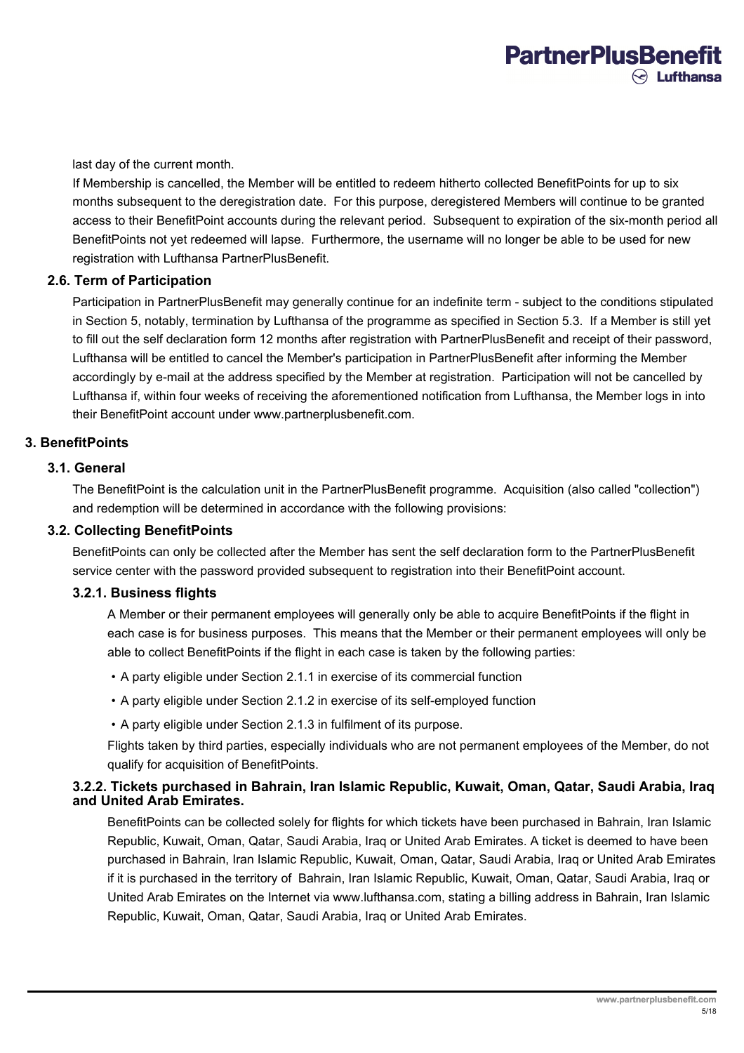last day of the current month.

If Membership is cancelled, the Member will be entitled to redeem hitherto collected BenefitPoints for up to six months subsequent to the deregistration date. For this purpose, deregistered Members will continue to be granted access to their BenefitPoint accounts during the relevant period. Subsequent to expiration of the six-month period all BenefitPoints not yet redeemed will lapse. Furthermore, the username will no longer be able to be used for new registration with Lufthansa PartnerPlusBenefit.

### <span id="page-4-0"></span>**2.6. Term of Participation**

Participation in PartnerPlusBenefit may generally continue for an indefinite term - subject to the conditions stipulated in Section 5, notably, termination by Lufthansa of the programme as specified in Section 5.3. If a Member is still yet to fill out the self declaration form 12 months after registration with PartnerPlusBenefit and receipt of their password, Lufthansa will be entitled to cancel the Member's participation in PartnerPlusBenefit after informing the Member accordingly by e-mail at the address specified by the Member at registration. Participation will not be cancelled by Lufthansa if, within four weeks of receiving the aforementioned notification from Lufthansa, the Member logs in into their BenefitPoint account under www.partnerplusbenefit.com.

### <span id="page-4-1"></span>**3. BenefitPoints**

### <span id="page-4-2"></span>**3.1. General**

The BenefitPoint is the calculation unit in the PartnerPlusBenefit programme. Acquisition (also called "collection") and redemption will be determined in accordance with the following provisions:

#### <span id="page-4-3"></span>**3.2. Collecting BenefitPoints**

BenefitPoints can only be collected after the Member has sent the self declaration form to the PartnerPlusBenefit service center with the password provided subsequent to registration into their BenefitPoint account.

#### <span id="page-4-4"></span>**3.2.1. Business flights**

A Member or their permanent employees will generally only be able to acquire BenefitPoints if the flight in each case is for business purposes. This means that the Member or their permanent employees will only be able to collect BenefitPoints if the flight in each case is taken by the following parties:

- A party eligible under Section 2.1.1 in exercise of its commercial function
- A party eligible under Section 2.1.2 in exercise of its self-employed function
- A party eligible under Section 2.1.3 in fulfilment of its purpose.

Flights taken by third parties, especially individuals who are not permanent employees of the Member, do not qualify for acquisition of BenefitPoints.

#### <span id="page-4-5"></span>**3.2.2. Tickets purchased in Bahrain, Iran Islamic Republic, Kuwait, Oman, Qatar, Saudi Arabia, Iraq and United Arab Emirates.**

BenefitPoints can be collected solely for flights for which tickets have been purchased in Bahrain, Iran Islamic Republic, Kuwait, Oman, Qatar, Saudi Arabia, Iraq or United Arab Emirates. A ticket is deemed to have been purchased in Bahrain, Iran Islamic Republic, Kuwait, Oman, Qatar, Saudi Arabia, Iraq or United Arab Emirates if it is purchased in the territory of Bahrain, Iran Islamic Republic, Kuwait, Oman, Qatar, Saudi Arabia, Iraq or United Arab Emirates on the Internet via www.lufthansa.com, stating a billing address in Bahrain, Iran Islamic Republic, Kuwait, Oman, Qatar, Saudi Arabia, Iraq or United Arab Emirates.

**PartnerPlusBenefit** 

 $\odot$  Lufthansa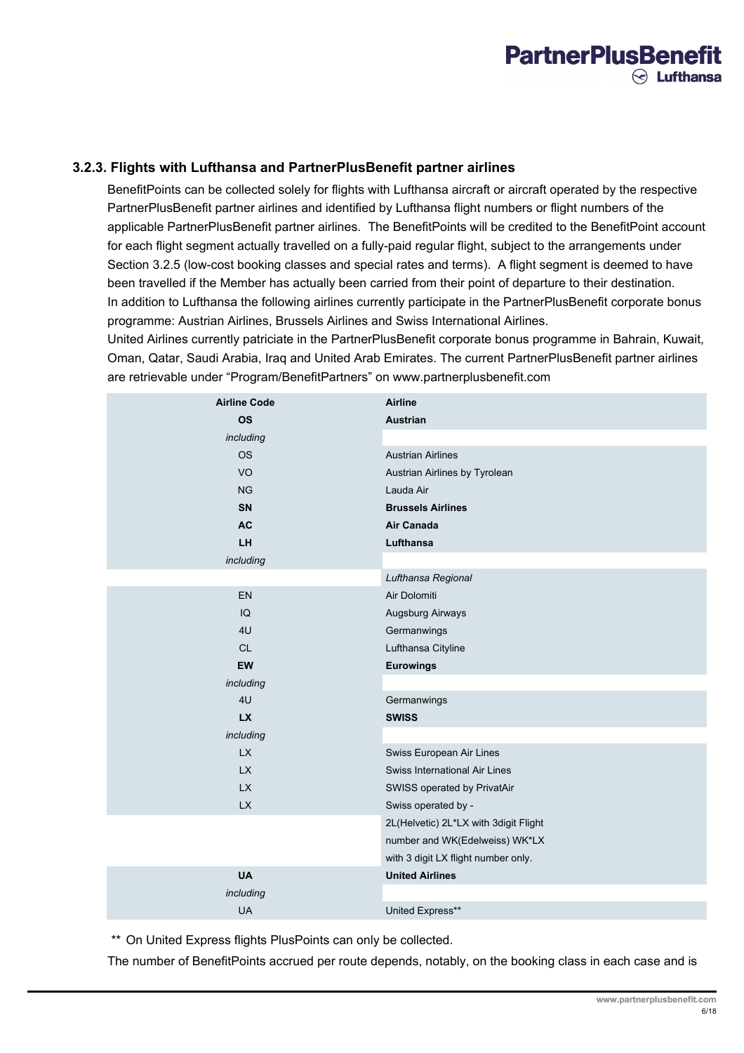### <span id="page-5-0"></span>**3.2.3. Flights with Lufthansa and PartnerPlusBenefit partner airlines**

BenefitPoints can be collected solely for flights with Lufthansa aircraft or aircraft operated by the respective PartnerPlusBenefit partner airlines and identified by Lufthansa flight numbers or flight numbers of the applicable PartnerPlusBenefit partner airlines. The BenefitPoints will be credited to the BenefitPoint account for each flight segment actually travelled on a fully-paid regular flight, subject to the arrangements under Section 3.2.5 (low-cost booking classes and special rates and terms). A flight segment is deemed to have been travelled if the Member has actually been carried from their point of departure to their destination. In addition to Lufthansa the following airlines currently participate in the PartnerPlusBenefit corporate bonus programme: Austrian Airlines, Brussels Airlines and Swiss International Airlines.

United Airlines currently patriciate in the PartnerPlusBenefit corporate bonus programme in Bahrain, Kuwait, Oman, Qatar, Saudi Arabia, Iraq and United Arab Emirates. The current PartnerPlusBenefit partner airlines are retrievable under "Program/BenefitPartners" on www.partnerplusbenefit.com

| <b>Airline Code</b>    | <b>Airline</b>                        |  |  |
|------------------------|---------------------------------------|--|--|
| <b>OS</b>              | <b>Austrian</b>                       |  |  |
| including              |                                       |  |  |
| <b>OS</b>              | <b>Austrian Airlines</b>              |  |  |
| <b>VO</b>              | Austrian Airlines by Tyrolean         |  |  |
| <b>NG</b>              | Lauda Air                             |  |  |
| SN                     | <b>Brussels Airlines</b>              |  |  |
| AC                     | <b>Air Canada</b>                     |  |  |
| LH.                    | Lufthansa                             |  |  |
| including              |                                       |  |  |
|                        | Lufthansa Regional                    |  |  |
| <b>EN</b>              | Air Dolomiti                          |  |  |
| $\overline{Q}$         | Augsburg Airways                      |  |  |
| 4 <sub>U</sub>         | Germanwings                           |  |  |
| <b>CL</b>              | Lufthansa Cityline                    |  |  |
| EW                     | <b>Eurowings</b>                      |  |  |
| including              |                                       |  |  |
| 4U                     | Germanwings                           |  |  |
| <b>LX</b>              | <b>SWISS</b>                          |  |  |
| including              |                                       |  |  |
| LX                     | Swiss European Air Lines              |  |  |
| <b>LX</b>              | Swiss International Air Lines         |  |  |
| LX                     | SWISS operated by PrivatAir           |  |  |
| $\mathsf{L}\mathsf{X}$ | Swiss operated by -                   |  |  |
|                        | 2L(Helvetic) 2L*LX with 3digit Flight |  |  |
|                        | number and WK(Edelweiss) WK*LX        |  |  |
|                        | with 3 digit LX flight number only.   |  |  |
| <b>UA</b>              | <b>United Airlines</b>                |  |  |
| including              |                                       |  |  |
| <b>UA</b>              | United Express**                      |  |  |

\*\* On United Express flights PlusPoints can only be collected.

The number of BenefitPoints accrued per route depends, notably, on the booking class in each case and is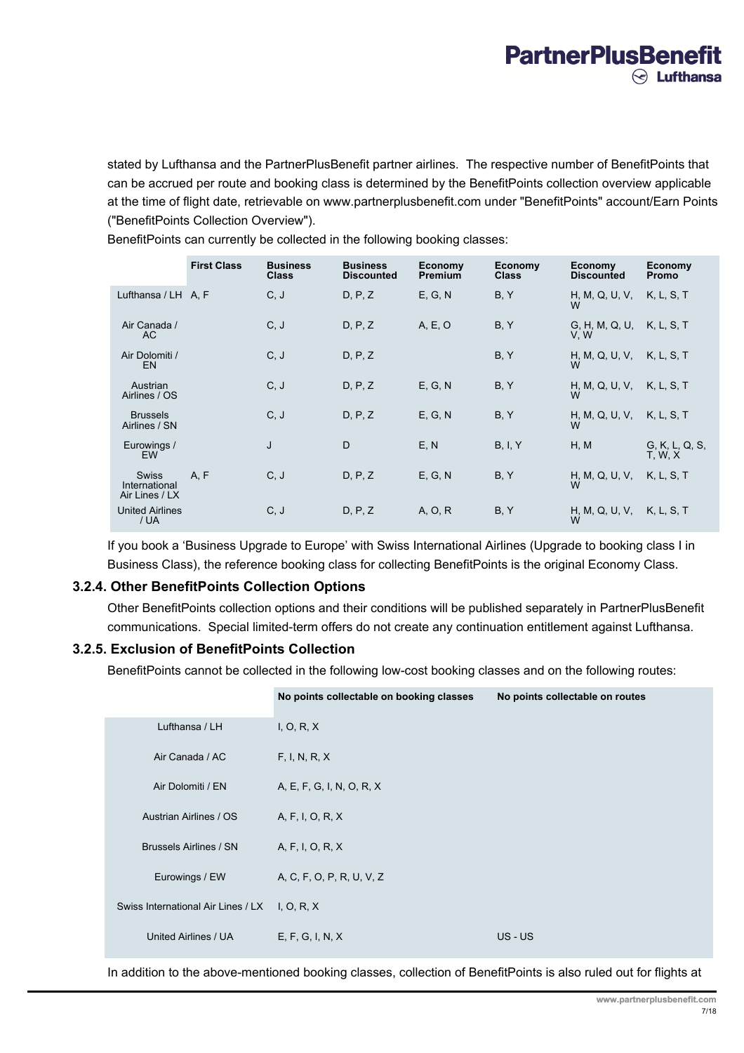stated by Lufthansa and the PartnerPlusBenefit partner airlines. The respective number of BenefitPoints that can be accrued per route and booking class is determined by the BenefitPoints collection overview applicable at the time of flight date, retrievable on www.partnerplusbenefit.com under "BenefitPoints" account/Earn Points ("BenefitPoints Collection Overview").

|                                                 | <b>First Class</b> | <b>Business</b><br><b>Class</b> | <b>Business</b><br><b>Discounted</b> | Economy<br><b>Premium</b> | Economy<br><b>Class</b> | Economy<br><b>Discounted</b> | Economy<br><b>Promo</b>   |
|-------------------------------------------------|--------------------|---------------------------------|--------------------------------------|---------------------------|-------------------------|------------------------------|---------------------------|
| Lufthansa / LH A, F                             |                    | C, J                            | D, P, Z                              | E, G, N                   | B, Y                    | H, M, Q, U, V,<br>W          | K, L, S, T                |
| Air Canada /<br>AC.                             |                    | C, J                            | D, P, Z                              | A, E, O                   | B, Y                    | G, H, M, Q, U,<br>V.W        | K, L, S, T                |
| Air Dolomiti /<br><b>EN</b>                     |                    | C, J                            | D, P, Z                              |                           | B, Y                    | H, M, Q, U, V,<br>W          | K, L, S, T                |
| Austrian<br>Airlines / OS                       |                    | C, J                            | D, P, Z                              | E, G, N                   | B, Y                    | H, M, Q, U, V,<br>W          | K, L, S, T                |
| <b>Brussels</b><br>Airlines / SN                |                    | C, J                            | D, P, Z                              | E, G, N                   | B, Y                    | H, M, Q, U, V,               | K, L, S, T                |
| Eurowings /<br><b>EW</b>                        |                    | J                               | D                                    | E, N                      | B, I, Y                 | H, M                         | G, K, L, Q, S,<br>T, W, X |
| <b>Swiss</b><br>International<br>Air Lines / LX | A, F               | C, J                            | D, P, Z                              | E, G, N                   | B, Y                    | H, M, Q, U, V,<br>W          | K, L, S, T                |
| <b>United Airlines</b><br>/ UA                  |                    | C, J                            | D, P, Z                              | A, O, R                   | B, Y                    | H, M, Q, U, V,<br>W          | K, L, S, T                |

BenefitPoints can currently be collected in the following booking classes:

If you book a 'Business Upgrade to Europe' with Swiss International Airlines (Upgrade to booking class I in Business Class), the reference booking class for collecting BenefitPoints is the original Economy Class.

### <span id="page-6-0"></span>**3.2.4. Other BenefitPoints Collection Options**

Other BenefitPoints collection options and their conditions will be published separately in PartnerPlusBenefit communications. Special limited-term offers do not create any continuation entitlement against Lufthansa.

### <span id="page-6-1"></span>**3.2.5. Exclusion of BenefitPoints Collection**

BenefitPoints cannot be collected in the following low-cost booking classes and on the following routes:

| No points collectable on booking classes | No points collectable on routes |
|------------------------------------------|---------------------------------|
| I, O, R, X                               |                                 |
| F, I, N, R, X                            |                                 |
| A, E, F, G, I, N, O, R, X                |                                 |
| A, F, I, O, R, X                         |                                 |
| A, F, I, O, R, X                         |                                 |
| A, C, F, O, P, R, U, V, Z                |                                 |
| I, O, R, X                               |                                 |
| E, F, G, I, N, X                         | $US - US$                       |
|                                          |                                 |

In addition to the above-mentioned booking classes, collection of BenefitPoints is also ruled out for flights at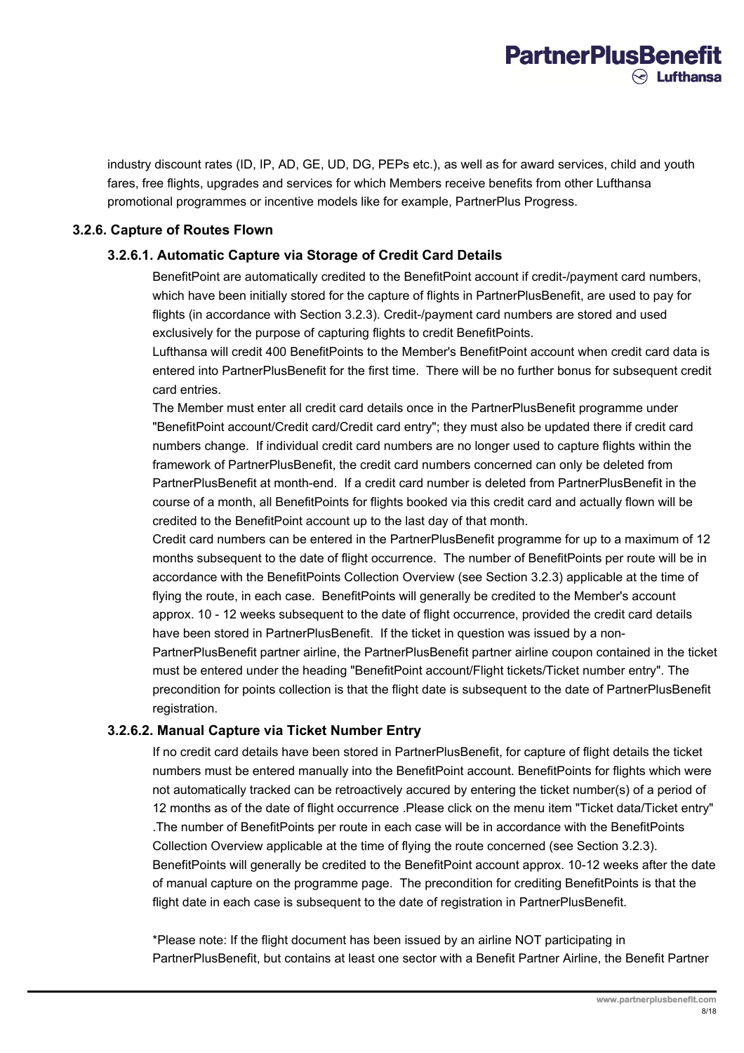industry discount rates (ID, IP, AD, GE, UD, DG, PEPs etc.), as well as for award services, child and youth fares, free flights, upgrades and services for which Members receive benefits from other Lufthansa promotional programmes or incentive models like for example, PartnerPlus Progress.

### <span id="page-7-0"></span>**3.2.6. Capture of Routes Flown**

### <span id="page-7-1"></span>**3.2.6.1. Automatic Capture via Storage of Credit Card Details**

BenefitPoint are automatically credited to the BenefitPoint account if credit-/payment card numbers, which have been initially stored for the capture of flights in PartnerPlusBenefit, are used to pay for flights (in accordance with Section 3.2.3). Credit-/payment card numbers are stored and used exclusively for the purpose of capturing flights to credit BenefitPoints.

Lufthansa will credit 400 BenefitPoints to the Member's BenefitPoint account when credit card data is entered into PartnerPlusBenefit for the first time. There will be no further bonus for subsequent credit card entries.

The Member must enter all credit card details once in the PartnerPlusBenefit programme under "BenefitPoint account/Credit card/Credit card entry"; they must also be updated there if credit card numbers change. If individual credit card numbers are no longer used to capture flights within the framework of PartnerPlusBenefit, the credit card numbers concerned can only be deleted from PartnerPlusBenefit at month-end. If a credit card number is deleted from PartnerPlusBenefit in the course of a month, all BenefitPoints for flights booked via this credit card and actually flown will be credited to the BenefitPoint account up to the last day of that month.

Credit card numbers can be entered in the PartnerPlusBenefit programme for up to a maximum of 12 months subsequent to the date of flight occurrence. The number of BenefitPoints per route will be in accordance with the BenefitPoints Collection Overview (see Section 3.2.3) applicable at the time of flying the route, in each case. BenefitPoints will generally be credited to the Member's account approx. 10 - 12 weeks subsequent to the date of flight occurrence, provided the credit card details have been stored in PartnerPlusBenefit. If the ticket in question was issued by a non-PartnerPlusBenefit partner airline, the PartnerPlusBenefit partner airline coupon contained in the ticket must be entered under the heading "BenefitPoint account/Flight tickets/Ticket number entry". The precondition for points collection is that the flight date is subsequent to the date of PartnerPlusBenefit registration.

### <span id="page-7-2"></span>**3.2.6.2. Manual Capture via Ticket Number Entry**

If no credit card details have been stored in PartnerPlusBenefit, for capture of flight details the ticket numbers must be entered manually into the BenefitPoint account. BenefitPoints for flights which were not automatically tracked can be retroactively accured by entering the ticket number(s) of a period of 12 months as of the date of flight occurrence .Please click on the menu item "Ticket data/Ticket entry" .The number of BenefitPoints per route in each case will be in accordance with the BenefitPoints Collection Overview applicable at the time of flying the route concerned (see Section 3.2.3). BenefitPoints will generally be credited to the BenefitPoint account approx. 10-12 weeks after the date of manual capture on the programme page. The precondition for crediting BenefitPoints is that the flight date in each case is subsequent to the date of registration in PartnerPlusBenefit.

\*Please note: If the flight document has been issued by an airline NOT participating in PartnerPlusBenefit, but contains at least one sector with a Benefit Partner Airline, the Benefit Partner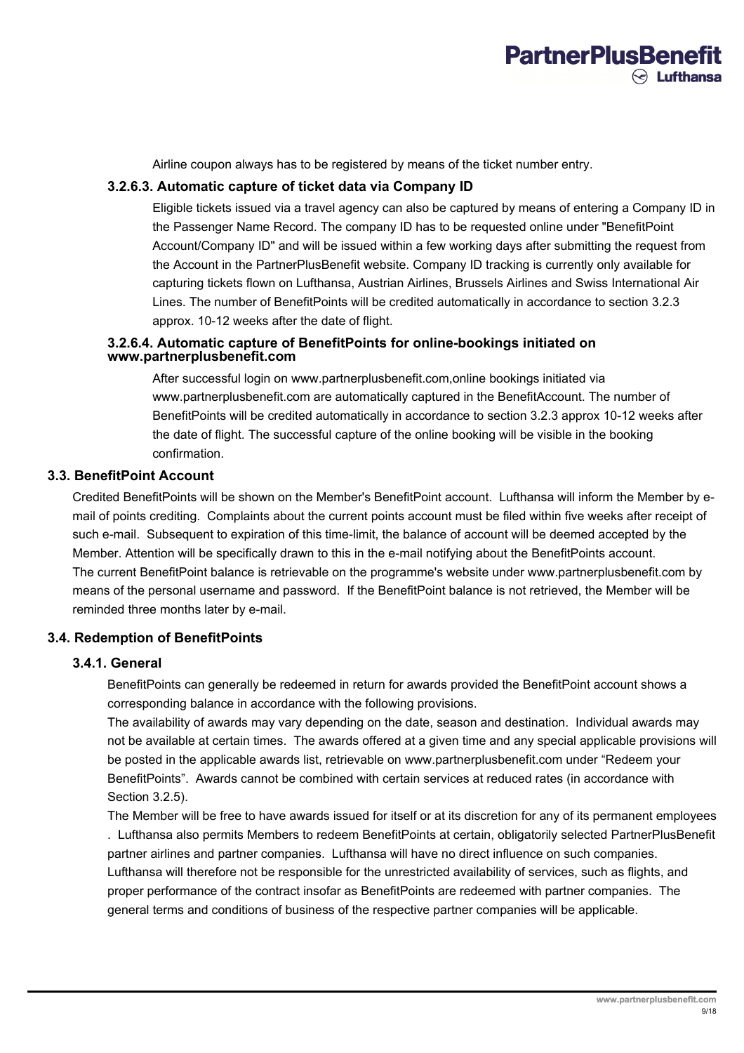

Airline coupon always has to be registered by means of the ticket number entry.

#### <span id="page-8-0"></span>**3.2.6.3. Automatic capture of ticket data via Company ID**

Eligible tickets issued via a travel agency can also be captured by means of entering a Company ID in the Passenger Name Record. The company ID has to be requested online under "BenefitPoint Account/Company ID" and will be issued within a few working days after submitting the request from the Account in the PartnerPlusBenefit website. Company ID tracking is currently only available for capturing tickets flown on Lufthansa, Austrian Airlines, Brussels Airlines and Swiss International Air Lines. The number of BenefitPoints will be credited automatically in accordance to section 3.2.3 approx. 10-12 weeks after the date of flight.

### <span id="page-8-1"></span>**3.2.6.4. Automatic capture of BenefitPoints for online-bookings initiated on www.partnerplusbenefit.com**

After successful login on www.partnerplusbenefit.com,online bookings initiated via www.partnerplusbenefit.com are automatically captured in the BenefitAccount. The number of BenefitPoints will be credited automatically in accordance to section 3.2.3 approx 10-12 weeks after the date of flight. The successful capture of the online booking will be visible in the booking confirmation.

#### <span id="page-8-2"></span>**3.3. BenefitPoint Account**

Credited BenefitPoints will be shown on the Member's BenefitPoint account. Lufthansa will inform the Member by email of points crediting. Complaints about the current points account must be filed within five weeks after receipt of such e-mail. Subsequent to expiration of this time-limit, the balance of account will be deemed accepted by the Member. Attention will be specifically drawn to this in the e-mail notifying about the BenefitPoints account. The current BenefitPoint balance is retrievable on the programme's website under www.partnerplusbenefit.com by means of the personal username and password. If the BenefitPoint balance is not retrieved, the Member will be reminded three months later by e-mail.

### <span id="page-8-3"></span>**3.4. Redemption of BenefitPoints**

### **3.4.1. General**

BenefitPoints can generally be redeemed in return for awards provided the BenefitPoint account shows a corresponding balance in accordance with the following provisions.

The availability of awards may vary depending on the date, season and destination. Individual awards may not be available at certain times. The awards offered at a given time and any special applicable provisions will be posted in the applicable awards list, retrievable on www.partnerplusbenefit.com under "Redeem your BenefitPoints". Awards cannot be combined with certain services at reduced rates (in accordance with Section 3.2.5).

The Member will be free to have awards issued for itself or at its discretion for any of its permanent employees . Lufthansa also permits Members to redeem BenefitPoints at certain, obligatorily selected PartnerPlusBenefit partner airlines and partner companies. Lufthansa will have no direct influence on such companies. Lufthansa will therefore not be responsible for the unrestricted availability of services, such as flights, and proper performance of the contract insofar as BenefitPoints are redeemed with partner companies. The general terms and conditions of business of the respective partner companies will be applicable.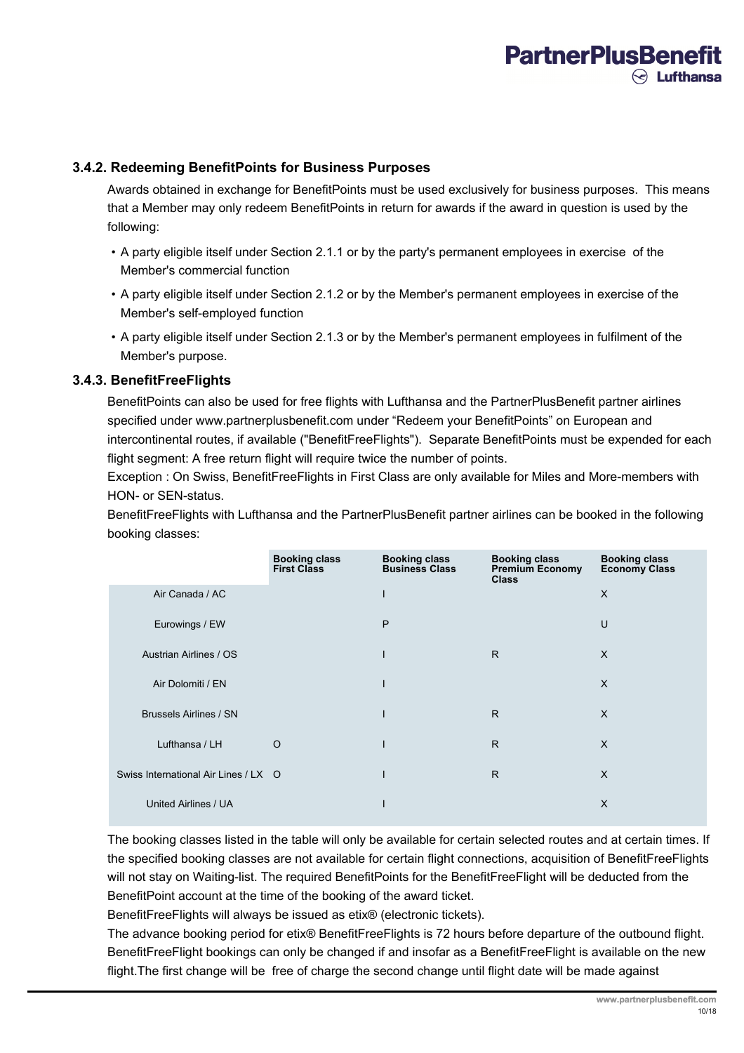### <span id="page-9-0"></span>**3.4.2. Redeeming BenefitPoints for Business Purposes**

Awards obtained in exchange for BenefitPoints must be used exclusively for business purposes. This means that a Member may only redeem BenefitPoints in return for awards if the award in question is used by the following:

- A party eligible itself under Section 2.1.1 or by the party's permanent employees in exercise of the Member's commercial function
- A party eligible itself under Section 2.1.2 or by the Member's permanent employees in exercise of the Member's self-employed function
- A party eligible itself under Section 2.1.3 or by the Member's permanent employees in fulfilment of the Member's purpose.

### <span id="page-9-1"></span>**3.4.3. BenefitFreeFlights**

BenefitPoints can also be used for free flights with Lufthansa and the PartnerPlusBenefit partner airlines specified under www.partnerplusbenefit.com under "Redeem your BenefitPoints" on European and intercontinental routes, if available ("BenefitFreeFlights"). Separate BenefitPoints must be expended for each flight segment: A free return flight will require twice the number of points.

Exception : On Swiss, BenefitFreeFlights in First Class are only available for Miles and More-members with HON- or SEN-status.

BenefitFreeFlights with Lufthansa and the PartnerPlusBenefit partner airlines can be booked in the following booking classes:

|                                      | <b>Booking class</b><br><b>First Class</b> | <b>Booking class</b><br><b>Business Class</b> | <b>Booking class</b><br><b>Premium Economy</b><br><b>Class</b> | <b>Booking class</b><br><b>Economy Class</b> |
|--------------------------------------|--------------------------------------------|-----------------------------------------------|----------------------------------------------------------------|----------------------------------------------|
| Air Canada / AC                      |                                            |                                               |                                                                | $\times$                                     |
| Eurowings / EW                       |                                            | P                                             |                                                                | U                                            |
| Austrian Airlines / OS               |                                            |                                               | R.                                                             | X                                            |
| Air Dolomiti / EN                    |                                            |                                               |                                                                | X                                            |
| Brussels Airlines / SN               |                                            |                                               | R                                                              | X                                            |
| Lufthansa / LH                       | $\circ$                                    |                                               | $\mathsf{R}$                                                   | X                                            |
| Swiss International Air Lines / LX O |                                            |                                               | R.                                                             | X                                            |
| United Airlines / UA                 |                                            |                                               |                                                                | X                                            |

The booking classes listed in the table will only be available for certain selected routes and at certain times. If the specified booking classes are not available for certain flight connections, acquisition of BenefitFreeFlights will not stay on Waiting-list. The required BenefitPoints for the BenefitFreeFlight will be deducted from the BenefitPoint account at the time of the booking of the award ticket.

BenefitFreeFlights will always be issued as etix® (electronic tickets).

The advance booking period for etix® BenefitFreeFlights is 72 hours before departure of the outbound flight. BenefitFreeFlight bookings can only be changed if and insofar as a BenefitFreeFlight is available on the new flight.The first change will be free of charge the second change until flight date will be made against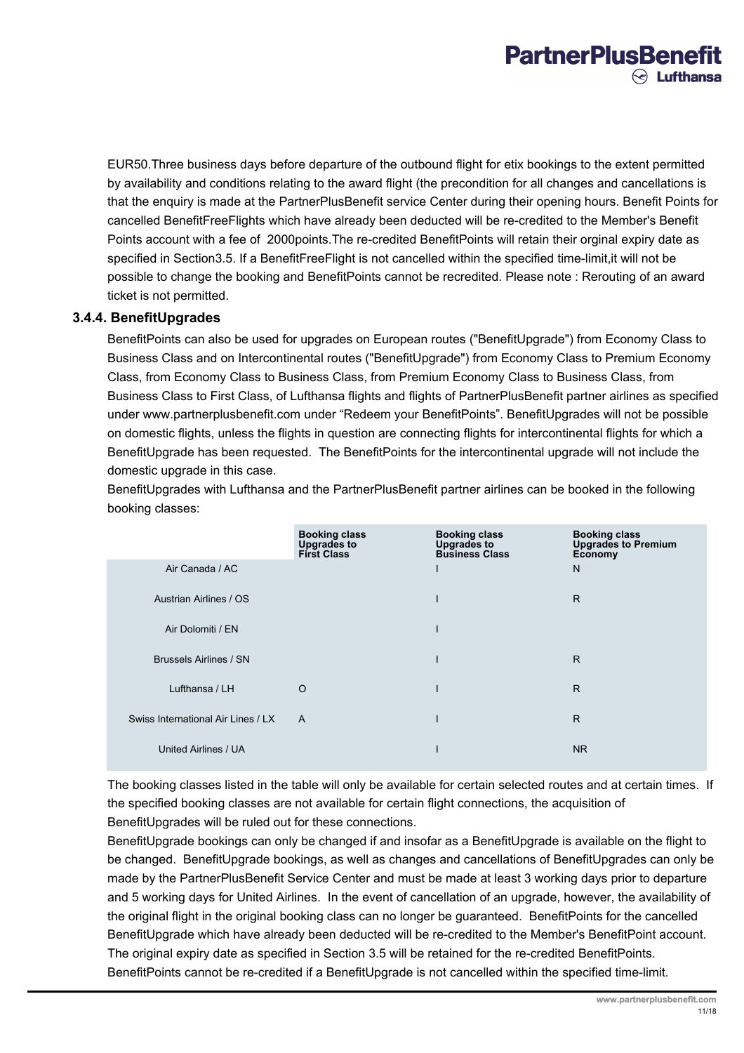EUR50.Three business days before departure of the outbound flight for etix bookings to the extent permitted by availability and conditions relating to the award flight (the precondition for all changes and cancellations is that the enquiry is made at the PartnerPlusBenefit service Center during their opening hours. Benefit Points for cancelled BenefitFreeFlights which have already been deducted will be re-credited to the Member's Benefit Points account with a fee of 2000points.The re-credited BenefitPoints will retain their orginal expiry date as specified in Section3.5. If a BenefitFreeFlight is not cancelled within the specified time-limit, it will not be possible to change the booking and BenefitPoints cannot be recredited. Please note : Rerouting of an award ticket is not permitted.

### <span id="page-10-0"></span>**3.4.4. BenefitUpgrades**

BenefitPoints can also be used for upgrades on European routes ("BenefitUpgrade") from Economy Class to Business Class and on Intercontinental routes ("BenefitUpgrade") from Economy Class to Premium Economy Class, from Economy Class to Business Class, from Premium Economy Class to Business Class, from Business Class to First Class, of Lufthansa flights and flights of PartnerPlusBenefit partner airlines as specified under www.partnerplusbenefit.com under "Redeem your BenefitPoints". BenefitUpgrades will not be possible on domestic flights, unless the flights in question are connecting flights for intercontinental flights for which a BenefitUpgrade has been requested. The BenefitPoints for the intercontinental upgrade will not include the domestic upgrade in this case.

BenefitUpgrades with Lufthansa and the PartnerPlusBenefit partner airlines can be booked in the following booking classes:

|                                    | <b>Booking class</b><br><b>Upgrades to</b><br><b>First Class</b> | <b>Booking class</b><br><b>Upgrades to</b><br><b>Business Class</b> | <b>Booking class</b><br><b>Upgrades to Premium</b><br>Economy |
|------------------------------------|------------------------------------------------------------------|---------------------------------------------------------------------|---------------------------------------------------------------|
| Air Canada / AC                    |                                                                  |                                                                     | N                                                             |
| Austrian Airlines / OS             |                                                                  |                                                                     | R                                                             |
| Air Dolomiti / EN                  |                                                                  |                                                                     |                                                               |
| Brussels Airlines / SN             |                                                                  |                                                                     | R                                                             |
| Lufthansa / LH                     | $\Omega$                                                         |                                                                     | R                                                             |
| Swiss International Air Lines / LX | $\overline{A}$                                                   |                                                                     | $\mathsf{R}$                                                  |
| United Airlines / UA               |                                                                  |                                                                     | <b>NR</b>                                                     |

The booking classes listed in the table will only be available for certain selected routes and at certain times. If the specified booking classes are not available for certain flight connections, the acquisition of BenefitUpgrades will be ruled out for these connections.

BenefitUpgrade bookings can only be changed if and insofar as a BenefitUpgrade is available on the flight to be changed. BenefitUpgrade bookings, as well as changes and cancellations of BenefitUpgrades can only be made by the PartnerPlusBenefit Service Center and must be made at least 3 working days prior to departure and 5 working days for United Airlines. In the event of cancellation of an upgrade, however, the availability of the original flight in the original booking class can no longer be guaranteed. BenefitPoints for the cancelled BenefitUpgrade which have already been deducted will be re-credited to the Member's BenefitPoint account. The original expiry date as specified in Section 3.5 will be retained for the re-credited BenefitPoints. BenefitPoints cannot be re-credited if a BenefitUpgrade is not cancelled within the specified time-limit.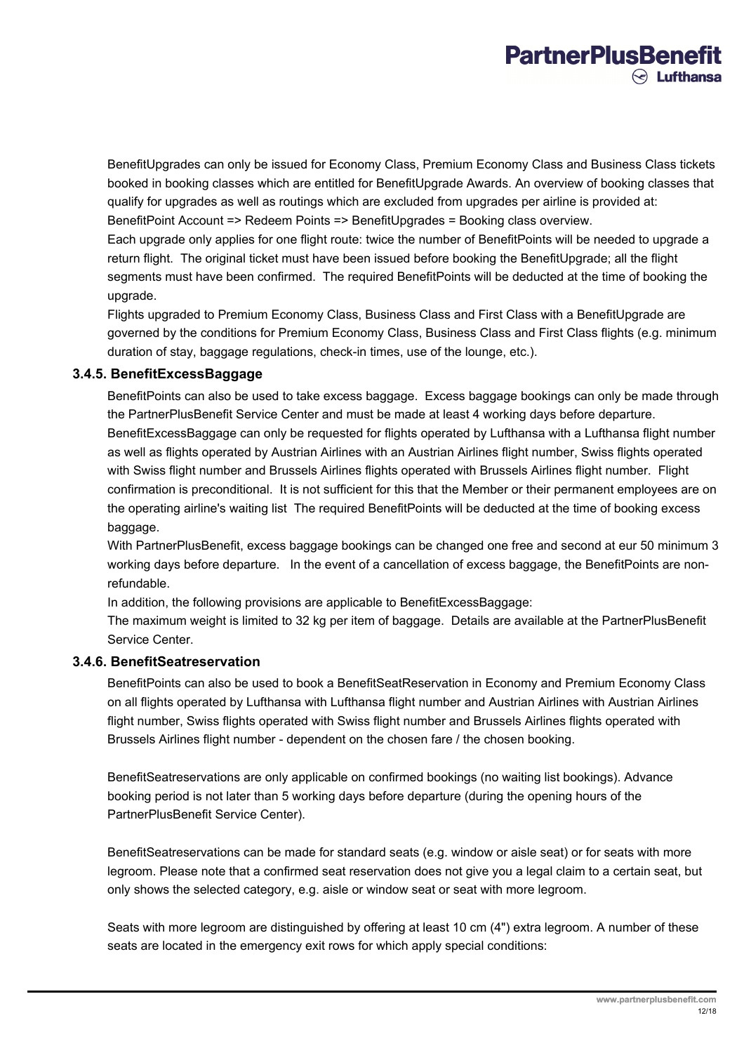BenefitUpgrades can only be issued for Economy Class, Premium Economy Class and Business Class tickets booked in booking classes which are entitled for BenefitUpgrade Awards. An overview of booking classes that qualify for upgrades as well as routings which are excluded from upgrades per airline is provided at: BenefitPoint Account => Redeem Points => BenefitUpgrades = Booking class overview.

Each upgrade only applies for one flight route: twice the number of BenefitPoints will be needed to upgrade a return flight. The original ticket must have been issued before booking the BenefitUpgrade; all the flight segments must have been confirmed. The required BenefitPoints will be deducted at the time of booking the upgrade.

Flights upgraded to Premium Economy Class, Business Class and First Class with a BenefitUpgrade are governed by the conditions for Premium Economy Class, Business Class and First Class flights (e.g. minimum duration of stay, baggage regulations, check-in times, use of the lounge, etc.).

#### <span id="page-11-0"></span>**3.4.5. BenefitExcessBaggage**

BenefitPoints can also be used to take excess baggage. Excess baggage bookings can only be made through the PartnerPlusBenefit Service Center and must be made at least 4 working days before departure. BenefitExcessBaggage can only be requested for flights operated by Lufthansa with a Lufthansa flight number as well as flights operated by Austrian Airlines with an Austrian Airlines flight number, Swiss flights operated with Swiss flight number and Brussels Airlines flights operated with Brussels Airlines flight number. Flight confirmation is preconditional. It is not sufficient for this that the Member or their permanent employees are on the operating airline's waiting list The required BenefitPoints will be deducted at the time of booking excess baggage.

With PartnerPlusBenefit, excess baggage bookings can be changed one free and second at eur 50 minimum 3 working days before departure. In the event of a cancellation of excess baggage, the BenefitPoints are nonrefundable.

In addition, the following provisions are applicable to BenefitExcessBaggage:

The maximum weight is limited to 32 kg per item of baggage. Details are available at the PartnerPlusBenefit Service Center.

### <span id="page-11-1"></span>**3.4.6. BenefitSeatreservation**

BenefitPoints can also be used to book a BenefitSeatReservation in Economy and Premium Economy Class on all flights operated by Lufthansa with Lufthansa flight number and Austrian Airlines with Austrian Airlines flight number, Swiss flights operated with Swiss flight number and Brussels Airlines flights operated with Brussels Airlines flight number - dependent on the chosen fare / the chosen booking.

BenefitSeatreservations are only applicable on confirmed bookings (no waiting list bookings). Advance booking period is not later than 5 working days before departure (during the opening hours of the PartnerPlusBenefit Service Center).

BenefitSeatreservations can be made for standard seats (e.g. window or aisle seat) or for seats with more legroom. Please note that a confirmed seat reservation does not give you a legal claim to a certain seat, but only shows the selected category, e.g. aisle or window seat or seat with more legroom.

Seats with more legroom are distinguished by offering at least 10 cm (4") extra legroom. A number of these seats are located in the emergency exit rows for which apply special conditions: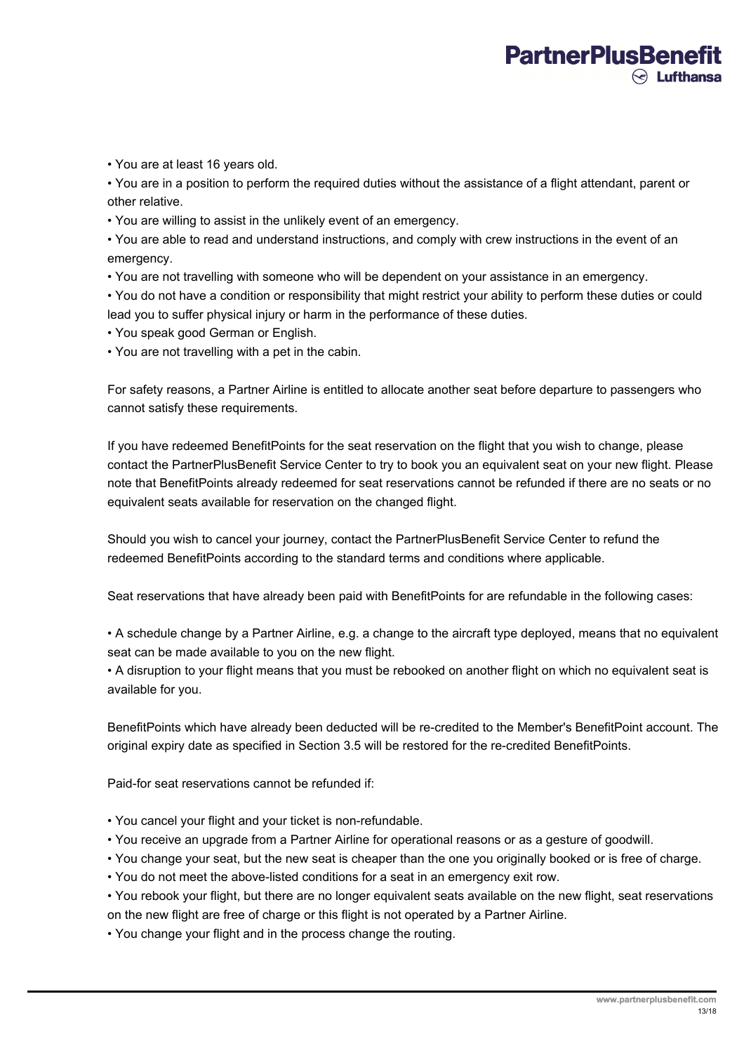• You are at least 16 years old.

• You are in a position to perform the required duties without the assistance of a flight attendant, parent or other relative.

• You are willing to assist in the unlikely event of an emergency.

• You are able to read and understand instructions, and comply with crew instructions in the event of an emergency.

• You are not travelling with someone who will be dependent on your assistance in an emergency.

• You do not have a condition or responsibility that might restrict your ability to perform these duties or could lead you to suffer physical injury or harm in the performance of these duties.

• You speak good German or English.

• You are not travelling with a pet in the cabin.

For safety reasons, a Partner Airline is entitled to allocate another seat before departure to passengers who cannot satisfy these requirements.

If you have redeemed BenefitPoints for the seat reservation on the flight that you wish to change, please contact the PartnerPlusBenefit Service Center to try to book you an equivalent seat on your new flight. Please note that BenefitPoints already redeemed for seat reservations cannot be refunded if there are no seats or no equivalent seats available for reservation on the changed flight.

Should you wish to cancel your journey, contact the PartnerPlusBenefit Service Center to refund the redeemed BenefitPoints according to the standard terms and conditions where applicable.

Seat reservations that have already been paid with BenefitPoints for are refundable in the following cases:

• A schedule change by a Partner Airline, e.g. a change to the aircraft type deployed, means that no equivalent seat can be made available to you on the new flight.

• A disruption to your flight means that you must be rebooked on another flight on which no equivalent seat is available for you.

BenefitPoints which have already been deducted will be re-credited to the Member's BenefitPoint account. The original expiry date as specified in Section 3.5 will be restored for the re-credited BenefitPoints.

Paid-for seat reservations cannot be refunded if:

- You cancel your flight and your ticket is non-refundable.
- You receive an upgrade from a Partner Airline for operational reasons or as a gesture of goodwill.
- You change your seat, but the new seat is cheaper than the one you originally booked or is free of charge.
- You do not meet the above-listed conditions for a seat in an emergency exit row.
- You rebook your flight, but there are no longer equivalent seats available on the new flight, seat reservations on the new flight are free of charge or this flight is not operated by a Partner Airline.
- You change your flight and in the process change the routing.

**PartnerPlusBenefit** 

 $\odot$  Lufthansa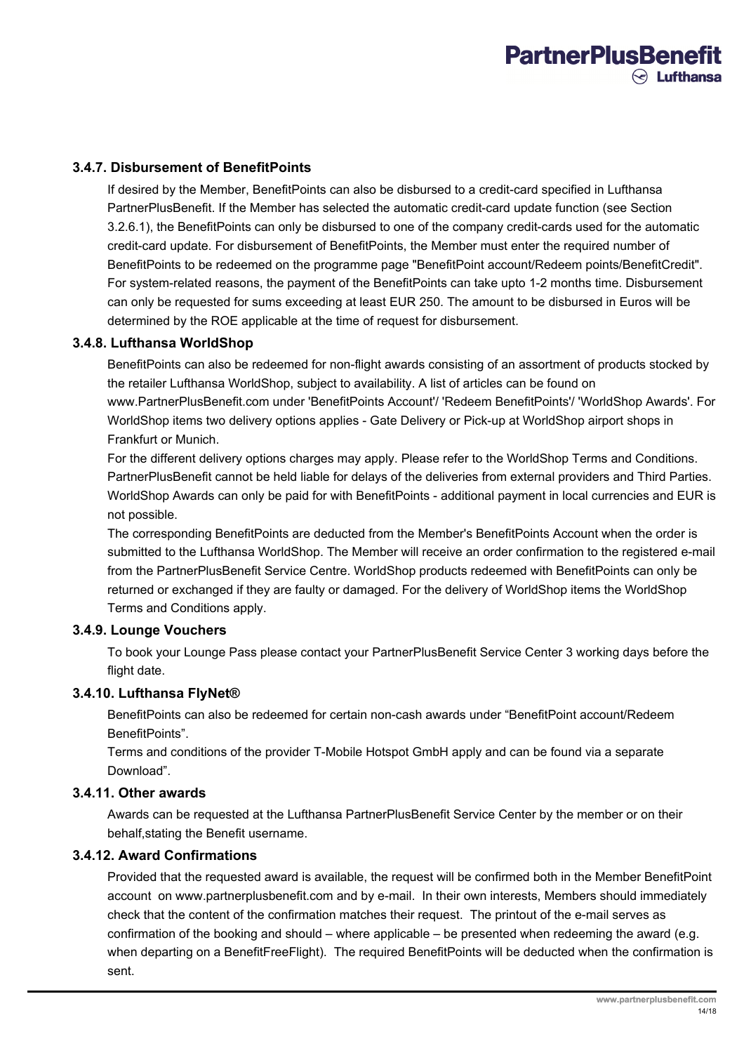### <span id="page-13-0"></span>**3.4.7. Disbursement of BenefitPoints**

If desired by the Member, BenefitPoints can also be disbursed to a credit-card specified in Lufthansa PartnerPlusBenefit. If the Member has selected the automatic credit-card update function (see Section 3.2.6.1), the BenefitPoints can only be disbursed to one of the company credit-cards used for the automatic credit-card update. For disbursement of BenefitPoints, the Member must enter the required number of BenefitPoints to be redeemed on the programme page "BenefitPoint account/Redeem points/BenefitCredit". For system-related reasons, the payment of the BenefitPoints can take upto 1-2 months time. Disbursement can only be requested for sums exceeding at least EUR 250. The amount to be disbursed in Euros will be determined by the ROE applicable at the time of request for disbursement.

### <span id="page-13-1"></span>**3.4.8. Lufthansa WorldShop**

BenefitPoints can also be redeemed for non-flight awards consisting of an assortment of products stocked by the retailer Lufthansa WorldShop, subject to availability. A list of articles can be found on www.PartnerPlusBenefit.com under 'BenefitPoints Account'/ 'Redeem BenefitPoints'/ 'WorldShop Awards'. For WorldShop items two delivery options applies - Gate Delivery or Pick-up at WorldShop airport shops in Frankfurt or Munich.

For the different delivery options charges may apply. Please refer to the WorldShop Terms and Conditions. PartnerPlusBenefit cannot be held liable for delays of the deliveries from external providers and Third Parties. WorldShop Awards can only be paid for with BenefitPoints - additional payment in local currencies and EUR is not possible.

The corresponding BenefitPoints are deducted from the Member's BenefitPoints Account when the order is submitted to the Lufthansa WorldShop. The Member will receive an order confirmation to the registered e-mail from the PartnerPlusBenefit Service Centre. WorldShop products redeemed with BenefitPoints can only be returned or exchanged if they are faulty or damaged. For the delivery of WorldShop items the WorldShop Terms and Conditions apply.

### <span id="page-13-2"></span>**3.4.9. Lounge Vouchers**

To book your Lounge Pass please contact your PartnerPlusBenefit Service Center 3 working days before the flight date.

### <span id="page-13-3"></span>**3.4.10. Lufthansa FlyNet®**

BenefitPoints can also be redeemed for certain non-cash awards under "BenefitPoint account/Redeem BenefitPoints".

Terms and conditions of the provider T-Mobile Hotspot GmbH apply and can be found via a separate Download".

### <span id="page-13-4"></span>**3.4.11. Other awards**

Awards can be requested at the Lufthansa PartnerPlusBenefit Service Center by the member or on their behalf,stating the Benefit username.

### <span id="page-13-5"></span>**3.4.12. Award Confirmations**

Provided that the requested award is available, the request will be confirmed both in the Member BenefitPoint account on www.partnerplusbenefit.com and by e-mail. In their own interests, Members should immediately check that the content of the confirmation matches their request. The printout of the e-mail serves as confirmation of the booking and should – where applicable – be presented when redeeming the award (e.g. when departing on a BenefitFreeFlight). The required BenefitPoints will be deducted when the confirmation is sent.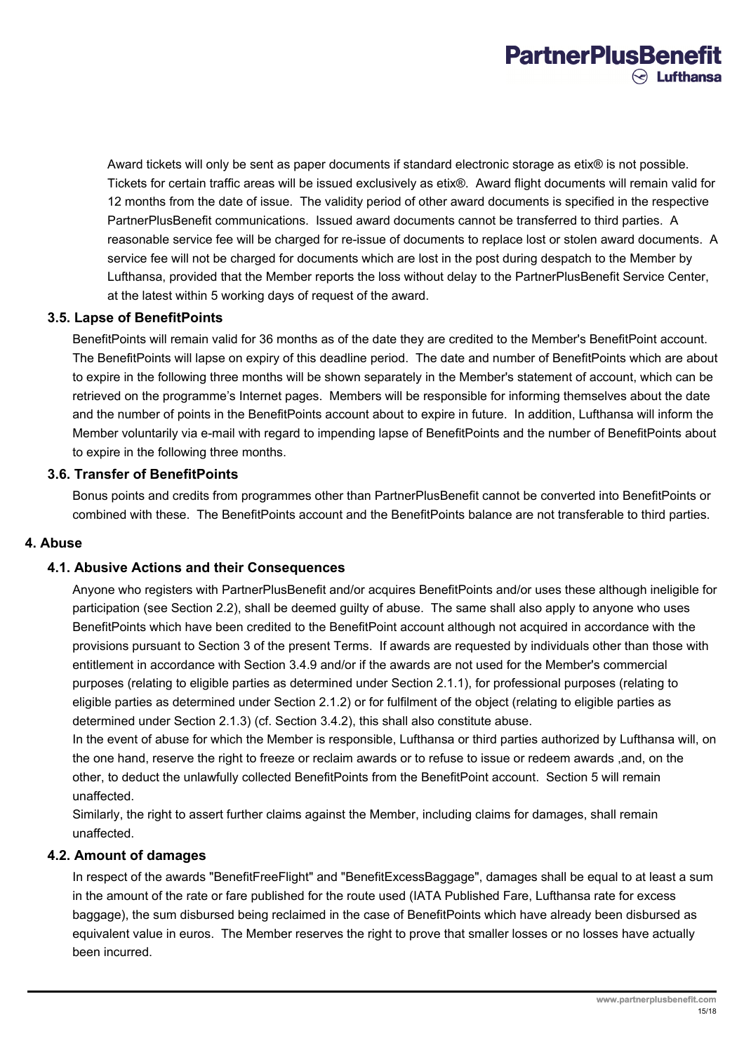Award tickets will only be sent as paper documents if standard electronic storage as etix® is not possible. Tickets for certain traffic areas will be issued exclusively as etix®. Award flight documents will remain valid for 12 months from the date of issue. The validity period of other award documents is specified in the respective PartnerPlusBenefit communications. Issued award documents cannot be transferred to third parties. A reasonable service fee will be charged for re-issue of documents to replace lost or stolen award documents. A service fee will not be charged for documents which are lost in the post during despatch to the Member by Lufthansa, provided that the Member reports the loss without delay to the PartnerPlusBenefit Service Center, at the latest within 5 working days of request of the award.

### <span id="page-14-0"></span>**3.5. Lapse of BenefitPoints**

BenefitPoints will remain valid for 36 months as of the date they are credited to the Member's BenefitPoint account. The BenefitPoints will lapse on expiry of this deadline period. The date and number of BenefitPoints which are about to expire in the following three months will be shown separately in the Member's statement of account, which can be retrieved on the programme's Internet pages. Members will be responsible for informing themselves about the date and the number of points in the BenefitPoints account about to expire in future. In addition, Lufthansa will inform the Member voluntarily via e-mail with regard to impending lapse of BenefitPoints and the number of BenefitPoints about to expire in the following three months.

### <span id="page-14-1"></span>**3.6. Transfer of BenefitPoints**

Bonus points and credits from programmes other than PartnerPlusBenefit cannot be converted into BenefitPoints or combined with these. The BenefitPoints account and the BenefitPoints balance are not transferable to third parties.

### <span id="page-14-2"></span>**4. Abuse**

### <span id="page-14-3"></span>**4.1. Abusive Actions and their Consequences**

Anyone who registers with PartnerPlusBenefit and/or acquires BenefitPoints and/or uses these although ineligible for participation (see Section 2.2), shall be deemed guilty of abuse. The same shall also apply to anyone who uses BenefitPoints which have been credited to the BenefitPoint account although not acquired in accordance with the provisions pursuant to Section 3 of the present Terms. If awards are requested by individuals other than those with entitlement in accordance with Section 3.4.9 and/or if the awards are not used for the Member's commercial purposes (relating to eligible parties as determined under Section 2.1.1), for professional purposes (relating to eligible parties as determined under Section 2.1.2) or for fulfilment of the object (relating to eligible parties as determined under Section 2.1.3) (cf. Section 3.4.2), this shall also constitute abuse.

In the event of abuse for which the Member is responsible, Lufthansa or third parties authorized by Lufthansa will, on the one hand, reserve the right to freeze or reclaim awards or to refuse to issue or redeem awards, and, on the other, to deduct the unlawfully collected BenefitPoints from the BenefitPoint account. Section 5 will remain unaffected.

Similarly, the right to assert further claims against the Member, including claims for damages, shall remain unaffected.

### <span id="page-14-4"></span>**4.2. Amount of damages**

In respect of the awards "BenefitFreeFlight" and "BenefitExcessBaggage", damages shall be equal to at least a sum in the amount of the rate or fare published for the route used (IATA Published Fare, Lufthansa rate for excess baggage), the sum disbursed being reclaimed in the case of BenefitPoints which have already been disbursed as equivalent value in euros. The Member reserves the right to prove that smaller losses or no losses have actually been incurred.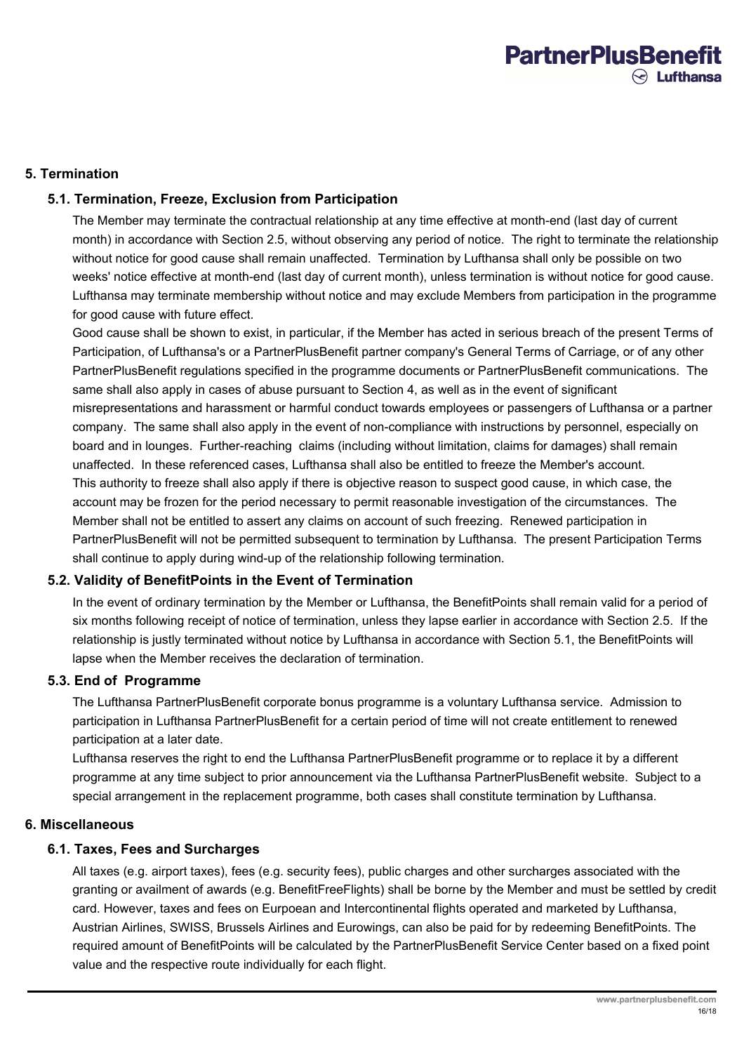### <span id="page-15-0"></span>**5. Termination**

### <span id="page-15-1"></span>**5.1. Termination, Freeze, Exclusion from Participation**

The Member may terminate the contractual relationship at any time effective at month-end (last day of current month) in accordance with Section 2.5, without observing any period of notice. The right to terminate the relationship without notice for good cause shall remain unaffected. Termination by Lufthansa shall only be possible on two weeks' notice effective at month-end (last day of current month), unless termination is without notice for good cause. Lufthansa may terminate membership without notice and may exclude Members from participation in the programme for good cause with future effect.

Good cause shall be shown to exist, in particular, if the Member has acted in serious breach of the present Terms of Participation, of Lufthansa's or a PartnerPlusBenefit partner company's General Terms of Carriage, or of any other PartnerPlusBenefit regulations specified in the programme documents or PartnerPlusBenefit communications. The same shall also apply in cases of abuse pursuant to Section 4, as well as in the event of significant misrepresentations and harassment or harmful conduct towards employees or passengers of Lufthansa or a partner company. The same shall also apply in the event of non-compliance with instructions by personnel, especially on board and in lounges. Further-reaching claims (including without limitation, claims for damages) shall remain unaffected. In these referenced cases, Lufthansa shall also be entitled to freeze the Member's account. This authority to freeze shall also apply if there is objective reason to suspect good cause, in which case, the account may be frozen for the period necessary to permit reasonable investigation of the circumstances. The Member shall not be entitled to assert any claims on account of such freezing. Renewed participation in PartnerPlusBenefit will not be permitted subsequent to termination by Lufthansa. The present Participation Terms shall continue to apply during wind-up of the relationship following termination.

### <span id="page-15-2"></span>**5.2. Validity of BenefitPoints in the Event of Termination**

In the event of ordinary termination by the Member or Lufthansa, the BenefitPoints shall remain valid for a period of six months following receipt of notice of termination, unless they lapse earlier in accordance with Section 2.5. If the relationship is justly terminated without notice by Lufthansa in accordance with Section 5.1, the BenefitPoints will lapse when the Member receives the declaration of termination.

### <span id="page-15-3"></span>**5.3. End of Programme**

The Lufthansa PartnerPlusBenefit corporate bonus programme is a voluntary Lufthansa service. Admission to participation in Lufthansa PartnerPlusBenefit for a certain period of time will not create entitlement to renewed participation at a later date.

Lufthansa reserves the right to end the Lufthansa PartnerPlusBenefit programme or to replace it by a different programme at any time subject to prior announcement via the Lufthansa PartnerPlusBenefit website. Subject to a special arrangement in the replacement programme, both cases shall constitute termination by Lufthansa.

#### <span id="page-15-4"></span>**6. Miscellaneous**

### <span id="page-15-5"></span>**6.1. Taxes, Fees and Surcharges**

All taxes (e.g. airport taxes), fees (e.g. security fees), public charges and other surcharges associated with the granting or availment of awards (e.g. BenefitFreeFlights) shall be borne by the Member and must be settled by credit card. However, taxes and fees on Eurpoean and Intercontinental flights operated and marketed by Lufthansa, Austrian Airlines, SWISS, Brussels Airlines and Eurowings, can also be paid for by redeeming BenefitPoints. The required amount of BenefitPoints will be calculated by the PartnerPlusBenefit Service Center based on a fixed point value and the respective route individually for each flight.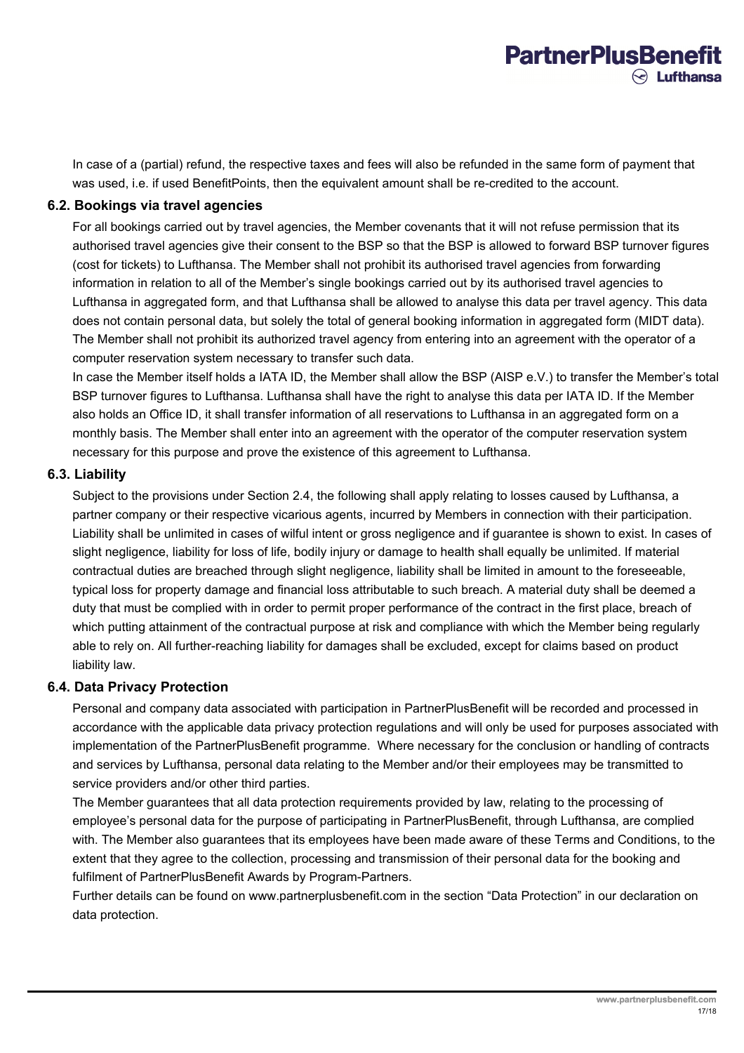In case of a (partial) refund, the respective taxes and fees will also be refunded in the same form of payment that was used, i.e. if used BenefitPoints, then the equivalent amount shall be re-credited to the account.

### <span id="page-16-0"></span>**6.2. Bookings via travel agencies**

For all bookings carried out by travel agencies, the Member covenants that it will not refuse permission that its authorised travel agencies give their consent to the BSP so that the BSP is allowed to forward BSP turnover figures (cost for tickets) to Lufthansa. The Member shall not prohibit its authorised travel agencies from forwarding information in relation to all of the Member's single bookings carried out by its authorised travel agencies to Lufthansa in aggregated form, and that Lufthansa shall be allowed to analyse this data per travel agency. This data does not contain personal data, but solely the total of general booking information in aggregated form (MIDT data). The Member shall not prohibit its authorized travel agency from entering into an agreement with the operator of a computer reservation system necessary to transfer such data.

In case the Member itself holds a IATA ID, the Member shall allow the BSP (AISP e.V.) to transfer the Member's total BSP turnover figures to Lufthansa. Lufthansa shall have the right to analyse this data per IATA ID. If the Member also holds an Office ID, it shall transfer information of all reservations to Lufthansa in an aggregated form on a monthly basis. The Member shall enter into an agreement with the operator of the computer reservation system necessary for this purpose and prove the existence of this agreement to Lufthansa.

#### <span id="page-16-1"></span>**6.3. Liability**

Subject to the provisions under Section 2.4, the following shall apply relating to losses caused by Lufthansa, a partner company or their respective vicarious agents, incurred by Members in connection with their participation. Liability shall be unlimited in cases of wilful intent or gross negligence and if guarantee is shown to exist. In cases of slight negligence, liability for loss of life, bodily injury or damage to health shall equally be unlimited. If material contractual duties are breached through slight negligence, liability shall be limited in amount to the foreseeable, typical loss for property damage and financial loss attributable to such breach. A material duty shall be deemed a duty that must be complied with in order to permit proper performance of the contract in the first place, breach of which putting attainment of the contractual purpose at risk and compliance with which the Member being regularly able to rely on. All further-reaching liability for damages shall be excluded, except for claims based on product liability law.

### <span id="page-16-2"></span>**6.4. Data Privacy Protection**

Personal and company data associated with participation in PartnerPlusBenefit will be recorded and processed in accordance with the applicable data privacy protection regulations and will only be used for purposes associated with implementation of the PartnerPlusBenefit programme. Where necessary for the conclusion or handling of contracts and services by Lufthansa, personal data relating to the Member and/or their employees may be transmitted to service providers and/or other third parties.

The Member guarantees that all data protection requirements provided by law, relating to the processing of employee's personal data for the purpose of participating in PartnerPlusBenefit, through Lufthansa, are complied with. The Member also guarantees that its employees have been made aware of these Terms and Conditions, to the extent that they agree to the collection, processing and transmission of their personal data for the booking and fulfilment of PartnerPlusBenefit Awards by Program-Partners.

Further details can be found on www.partnerplusbenefit.com in the section "Data Protection" in our declaration on data protection.

**PartnerPlusBenefit** 

 $\odot$  Lufthansa